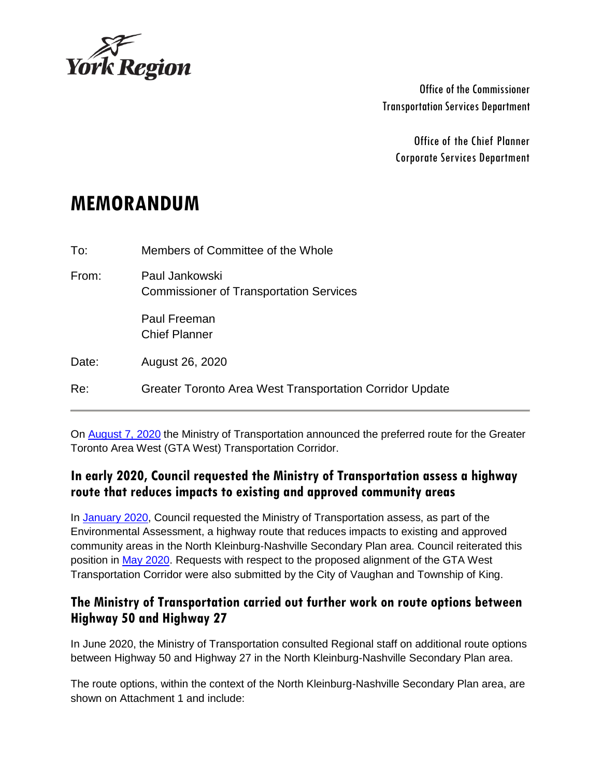

Office of the Commissioner Transportation Services Department

Office of the Chief Planner Corporate Services Department

# **MEMORANDUM**

| To:   | Members of Committee of the Whole                                |
|-------|------------------------------------------------------------------|
| From: | Paul Jankowski<br><b>Commissioner of Transportation Services</b> |
|       | Paul Freeman<br><b>Chief Planner</b>                             |
| Date: | August 26, 2020                                                  |
| Re:   | Greater Toronto Area West Transportation Corridor Update         |
|       |                                                                  |

On [August 7, 2020](https://www.gta-west.com/wp-content/uploads/2020/08/AECOM-Bulletin-AUG-07-2020-Final-web.pdf) the Ministry of Transportation announced the preferred route for the Greater Toronto Area West (GTA West) Transportation Corridor.

## **In early 2020, Council requested the Ministry of Transportation assess a highway route that reduces impacts to existing and approved community areas**

In [January 2020,](https://yorkpublishing.escribemeetings.com/filestream.ashx?DocumentId=10101) Council requested the Ministry of Transportation assess, as part of the Environmental Assessment, a highway route that reduces impacts to existing and approved community areas in the North Kleinburg-Nashville Secondary Plan area. Council reiterated this position in [May 2020.](https://yorkpublishing.escribemeetings.com/filestream.ashx?DocumentId=12529) Requests with respect to the proposed alignment of the GTA West Transportation Corridor were also submitted by the City of Vaughan and Township of King.

## **The Ministry of Transportation carried out further work on route options between Highway 50 and Highway 27**

In June 2020, the Ministry of Transportation consulted Regional staff on additional route options between Highway 50 and Highway 27 in the North Kleinburg-Nashville Secondary Plan area.

The route options, within the context of the North Kleinburg-Nashville Secondary Plan area, are shown on Attachment 1 and include: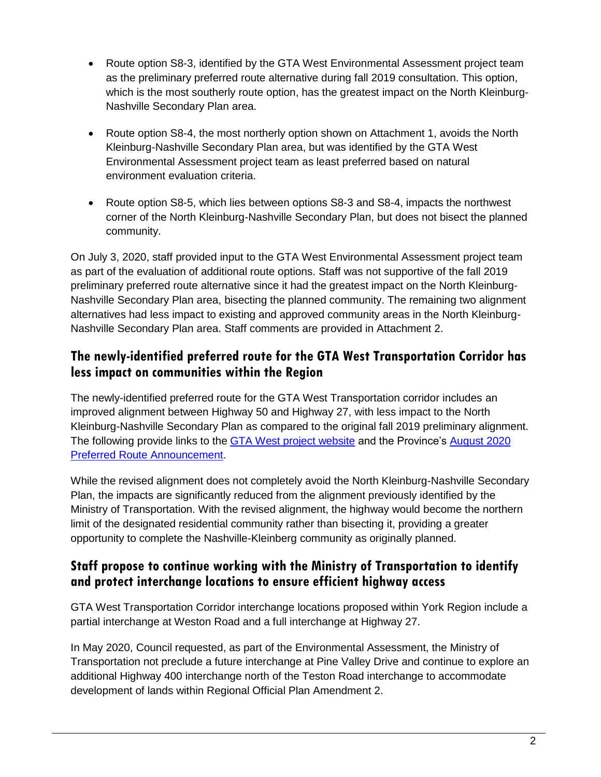- Route option S8-3, identified by the GTA West Environmental Assessment project team as the preliminary preferred route alternative during fall 2019 consultation. This option, which is the most southerly route option, has the greatest impact on the North Kleinburg-Nashville Secondary Plan area.
- Route option S8-4, the most northerly option shown on Attachment 1, avoids the North Kleinburg-Nashville Secondary Plan area, but was identified by the GTA West Environmental Assessment project team as least preferred based on natural environment evaluation criteria.
- Route option S8-5, which lies between options S8-3 and S8-4, impacts the northwest corner of the North Kleinburg-Nashville Secondary Plan, but does not bisect the planned community.

On July 3, 2020, staff provided input to the GTA West Environmental Assessment project team as part of the evaluation of additional route options. Staff was not supportive of the fall 2019 preliminary preferred route alternative since it had the greatest impact on the North Kleinburg-Nashville Secondary Plan area, bisecting the planned community. The remaining two alignment alternatives had less impact to existing and approved community areas in the North Kleinburg-Nashville Secondary Plan area. Staff comments are provided in Attachment 2.

# **The newly-identified preferred route for the GTA West Transportation Corridor has less impact on communities within the Region**

The newly-identified preferred route for the GTA West Transportation corridor includes an improved alignment between Highway 50 and Highway 27, with less impact to the North Kleinburg-Nashville Secondary Plan as compared to the original fall 2019 preliminary alignment. The following provide links to the [GTA West project website](https://www.gta-west.com/) and the Province's [August 2020](https://www.gta-west.com/wp-content/uploads/2020/08/PreferredRoute_Aug-6-2020_Final-web.pdf)  [Preferred Route Announcement.](https://www.gta-west.com/wp-content/uploads/2020/08/PreferredRoute_Aug-6-2020_Final-web.pdf)

While the revised alignment does not completely avoid the North Kleinburg-Nashville Secondary Plan, the impacts are significantly reduced from the alignment previously identified by the Ministry of Transportation. With the revised alignment, the highway would become the northern limit of the designated residential community rather than bisecting it, providing a greater opportunity to complete the Nashville-Kleinberg community as originally planned.

## **Staff propose to continue working with the Ministry of Transportation to identify and protect interchange locations to ensure efficient highway access**

GTA West Transportation Corridor interchange locations proposed within York Region include a partial interchange at Weston Road and a full interchange at Highway 27.

In May 2020, Council requested, as part of the Environmental Assessment, the Ministry of Transportation not preclude a future interchange at Pine Valley Drive and continue to explore an additional Highway 400 interchange north of the Teston Road interchange to accommodate development of lands within Regional Official Plan Amendment 2.